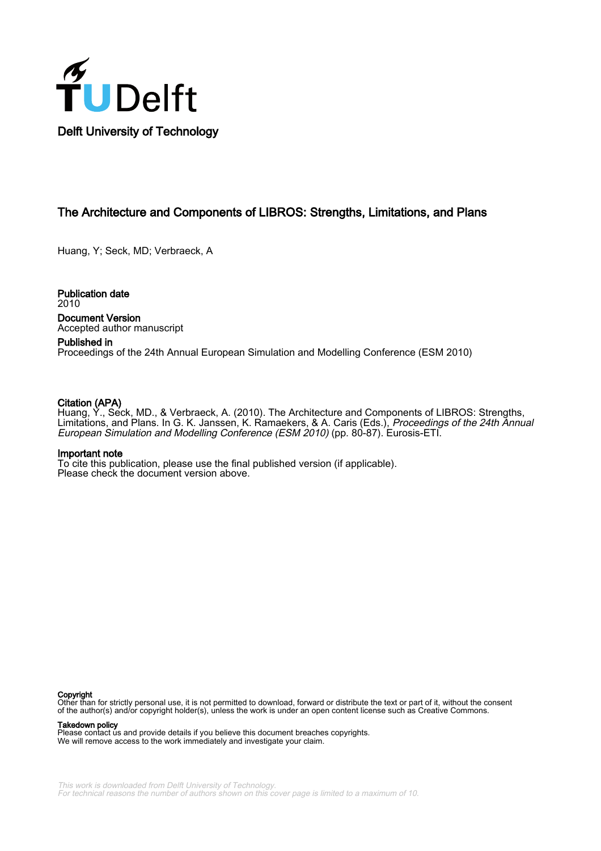

# The Architecture and Components of LIBROS: Strengths, Limitations, and Plans

Huang, Y; Seck, MD; Verbraeck, A

Publication date 2010 Document Version Accepted author manuscript

## Published in

Proceedings of the 24th Annual European Simulation and Modelling Conference (ESM 2010)

# Citation (APA)

Huang, Y., Seck, MD., & Verbraeck, A. (2010). The Architecture and Components of LIBROS: Strengths, Limitations, and Plans. In G. K. Janssen, K. Ramaekers, & A. Caris (Eds.), Proceedings of the 24th Annual European Simulation and Modelling Conference (ESM 2010) (pp. 80-87). Eurosis-ETI.

## Important note

To cite this publication, please use the final published version (if applicable). Please check the document version above.

#### Copyright

Other than for strictly personal use, it is not permitted to download, forward or distribute the text or part of it, without the consent of the author(s) and/or copyright holder(s), unless the work is under an open content license such as Creative Commons.

Takedown policy

Please contact us and provide details if you believe this document breaches copyrights. We will remove access to the work immediately and investigate your claim.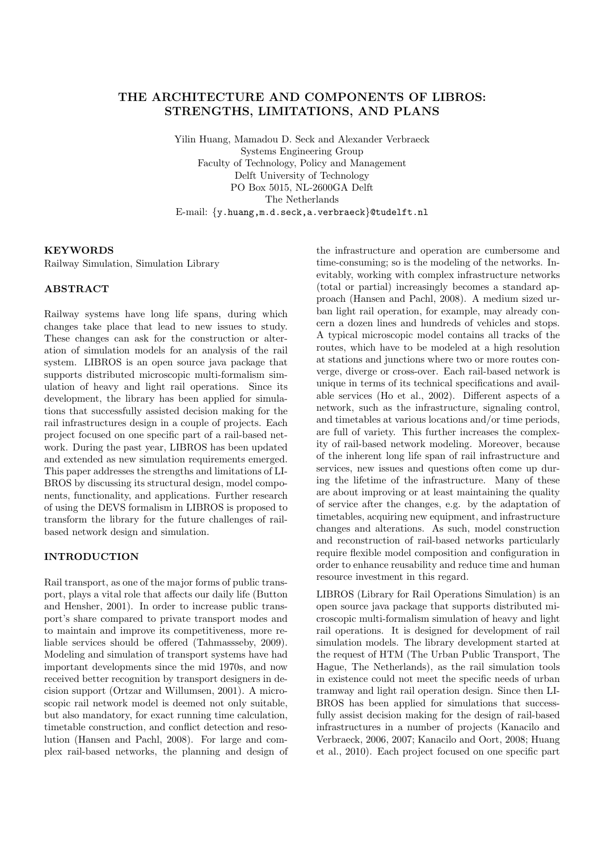# THE ARCHITECTURE AND COMPONENTS OF LIBROS: STRENGTHS, LIMITATIONS, AND PLANS

Yilin Huang, Mamadou D. Seck and Alexander Verbraeck Systems Engineering Group Faculty of Technology, Policy and Management Delft University of Technology PO Box 5015, NL-2600GA Delft The Netherlands E-mail: {y.huang,m.d.seck,a.verbraeck}@tudelft.nl

#### **KEYWORDS**

Railway Simulation, Simulation Library

## ABSTRACT

Railway systems have long life spans, during which changes take place that lead to new issues to study. These changes can ask for the construction or alteration of simulation models for an analysis of the rail system. LIBROS is an open source java package that supports distributed microscopic multi-formalism simulation of heavy and light rail operations. Since its development, the library has been applied for simulations that successfully assisted decision making for the rail infrastructures design in a couple of projects. Each project focused on one specific part of a rail-based network. During the past year, LIBROS has been updated and extended as new simulation requirements emerged. This paper addresses the strengths and limitations of LI-BROS by discussing its structural design, model components, functionality, and applications. Further research of using the DEVS formalism in LIBROS is proposed to transform the library for the future challenges of railbased network design and simulation.

## INTRODUCTION

Rail transport, as one of the major forms of public transport, plays a vital role that affects our daily life (Button and Hensher, 2001). In order to increase public transport's share compared to private transport modes and to maintain and improve its competitiveness, more reliable services should be offered (Tahmassseby, 2009). Modeling and simulation of transport systems have had important developments since the mid 1970s, and now received better recognition by transport designers in decision support (Ortzar and Willumsen, 2001). A microscopic rail network model is deemed not only suitable, but also mandatory, for exact running time calculation, timetable construction, and conflict detection and resolution (Hansen and Pachl, 2008). For large and complex rail-based networks, the planning and design of

the infrastructure and operation are cumbersome and time-consuming; so is the modeling of the networks. Inevitably, working with complex infrastructure networks (total or partial) increasingly becomes a standard approach (Hansen and Pachl, 2008). A medium sized urban light rail operation, for example, may already concern a dozen lines and hundreds of vehicles and stops. A typical microscopic model contains all tracks of the routes, which have to be modeled at a high resolution at stations and junctions where two or more routes converge, diverge or cross-over. Each rail-based network is unique in terms of its technical specifications and available services (Ho et al., 2002). Different aspects of a network, such as the infrastructure, signaling control, and timetables at various locations and/or time periods, are full of variety. This further increases the complexity of rail-based network modeling. Moreover, because of the inherent long life span of rail infrastructure and services, new issues and questions often come up during the lifetime of the infrastructure. Many of these are about improving or at least maintaining the quality of service after the changes, e.g. by the adaptation of timetables, acquiring new equipment, and infrastructure changes and alterations. As such, model construction and reconstruction of rail-based networks particularly require flexible model composition and configuration in order to enhance reusability and reduce time and human resource investment in this regard.

LIBROS (Library for Rail Operations Simulation) is an open source java package that supports distributed microscopic multi-formalism simulation of heavy and light rail operations. It is designed for development of rail simulation models. The library development started at the request of HTM (The Urban Public Transport, The Hague, The Netherlands), as the rail simulation tools in existence could not meet the specific needs of urban tramway and light rail operation design. Since then LI-BROS has been applied for simulations that successfully assist decision making for the design of rail-based infrastructures in a number of projects (Kanacilo and Verbraeck, 2006, 2007; Kanacilo and Oort, 2008; Huang et al., 2010). Each project focused on one specific part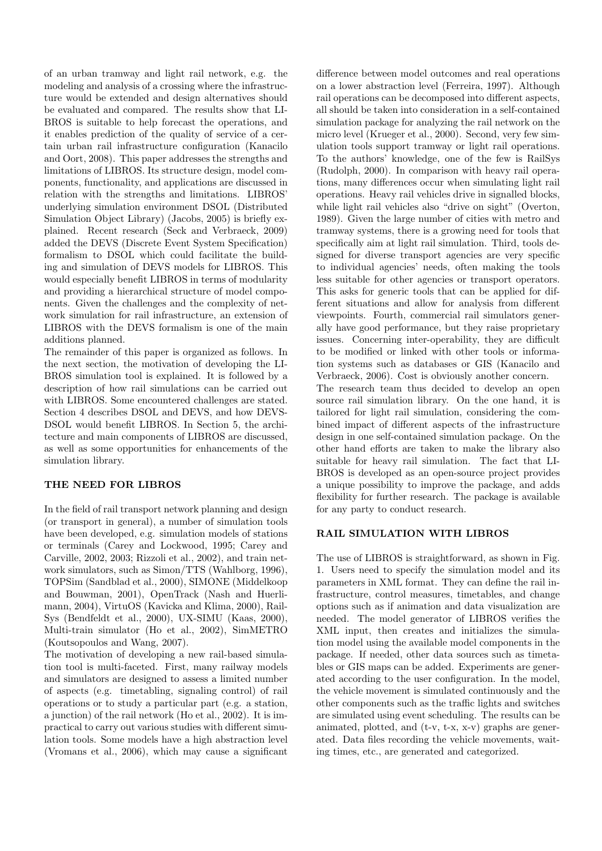of an urban tramway and light rail network, e.g. the modeling and analysis of a crossing where the infrastructure would be extended and design alternatives should be evaluated and compared. The results show that LI-BROS is suitable to help forecast the operations, and it enables prediction of the quality of service of a certain urban rail infrastructure configuration (Kanacilo and Oort, 2008). This paper addresses the strengths and limitations of LIBROS. Its structure design, model components, functionality, and applications are discussed in relation with the strengths and limitations. LIBROS' underlying simulation environment DSOL (Distributed Simulation Object Library) (Jacobs, 2005) is briefly explained. Recent research (Seck and Verbraeck, 2009) added the DEVS (Discrete Event System Specification) formalism to DSOL which could facilitate the building and simulation of DEVS models for LIBROS. This would especially benefit LIBROS in terms of modularity and providing a hierarchical structure of model components. Given the challenges and the complexity of network simulation for rail infrastructure, an extension of LIBROS with the DEVS formalism is one of the main additions planned.

The remainder of this paper is organized as follows. In the next section, the motivation of developing the LI-BROS simulation tool is explained. It is followed by a description of how rail simulations can be carried out with LIBROS. Some encountered challenges are stated. Section 4 describes DSOL and DEVS, and how DEVS-DSOL would benefit LIBROS. In Section 5, the architecture and main components of LIBROS are discussed, as well as some opportunities for enhancements of the simulation library.

# THE NEED FOR LIBROS

In the field of rail transport network planning and design (or transport in general), a number of simulation tools have been developed, e.g. simulation models of stations or terminals (Carey and Lockwood, 1995; Carey and Carville, 2002, 2003; Rizzoli et al., 2002), and train network simulators, such as Simon/TTS (Wahlborg, 1996), TOPSim (Sandblad et al., 2000), SIMONE (Middelkoop and Bouwman, 2001), OpenTrack (Nash and Huerlimann, 2004), VirtuOS (Kavicka and Klima, 2000), Rail-Sys (Bendfeldt et al., 2000), UX-SIMU (Kaas, 2000), Multi-train simulator (Ho et al., 2002), SimMETRO (Koutsopoulos and Wang, 2007).

The motivation of developing a new rail-based simulation tool is multi-faceted. First, many railway models and simulators are designed to assess a limited number of aspects (e.g. timetabling, signaling control) of rail operations or to study a particular part (e.g. a station, a junction) of the rail network (Ho et al., 2002). It is impractical to carry out various studies with different simulation tools. Some models have a high abstraction level (Vromans et al., 2006), which may cause a significant

difference between model outcomes and real operations on a lower abstraction level (Ferreira, 1997). Although rail operations can be decomposed into different aspects, all should be taken into consideration in a self-contained simulation package for analyzing the rail network on the micro level (Krueger et al., 2000). Second, very few simulation tools support tramway or light rail operations. To the authors' knowledge, one of the few is RailSys (Rudolph, 2000). In comparison with heavy rail operations, many differences occur when simulating light rail operations. Heavy rail vehicles drive in signalled blocks, while light rail vehicles also "drive on sight" (Overton, 1989). Given the large number of cities with metro and tramway systems, there is a growing need for tools that specifically aim at light rail simulation. Third, tools designed for diverse transport agencies are very specific to individual agencies' needs, often making the tools less suitable for other agencies or transport operators. This asks for generic tools that can be applied for different situations and allow for analysis from different viewpoints. Fourth, commercial rail simulators generally have good performance, but they raise proprietary issues. Concerning inter-operability, they are difficult to be modified or linked with other tools or information systems such as databases or GIS (Kanacilo and Verbraeck, 2006). Cost is obviously another concern. The research team thus decided to develop an open

source rail simulation library. On the one hand, it is tailored for light rail simulation, considering the combined impact of different aspects of the infrastructure design in one self-contained simulation package. On the other hand efforts are taken to make the library also suitable for heavy rail simulation. The fact that LI-BROS is developed as an open-source project provides a unique possibility to improve the package, and adds flexibility for further research. The package is available for any party to conduct research.

# RAIL SIMULATION WITH LIBROS

The use of LIBROS is straightforward, as shown in Fig. 1. Users need to specify the simulation model and its parameters in XML format. They can define the rail infrastructure, control measures, timetables, and change options such as if animation and data visualization are needed. The model generator of LIBROS verifies the XML input, then creates and initializes the simulation model using the available model components in the package. If needed, other data sources such as timetables or GIS maps can be added. Experiments are generated according to the user configuration. In the model, the vehicle movement is simulated continuously and the other components such as the traffic lights and switches are simulated using event scheduling. The results can be animated, plotted, and (t-v, t-x, x-v) graphs are generated. Data files recording the vehicle movements, waiting times, etc., are generated and categorized.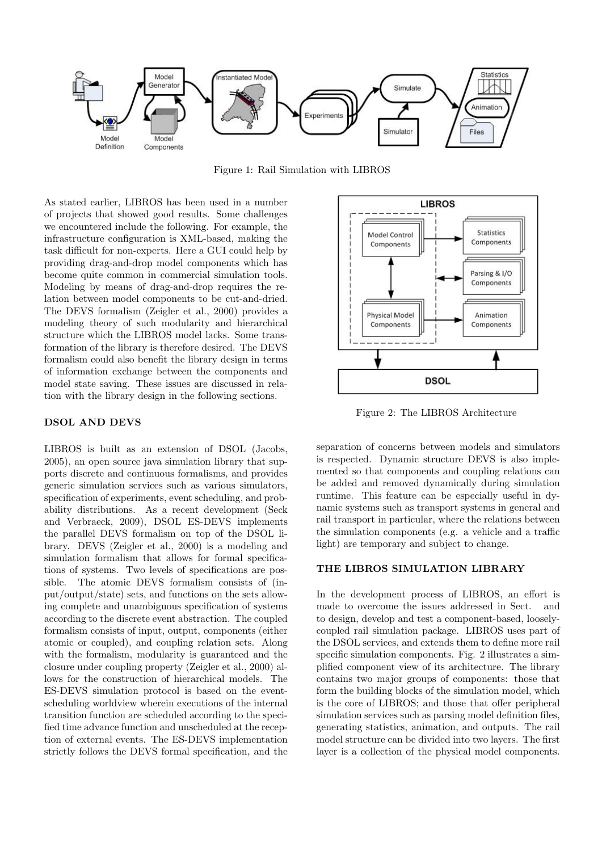

Figure 1: Rail Simulation with LIBROS

As stated earlier, LIBROS has been used in a number of projects that showed good results. Some challenges we encountered include the following. For example, the infrastructure configuration is XML-based, making the task difficult for non-experts. Here a GUI could help by providing drag-and-drop model components which has become quite common in commercial simulation tools. Modeling by means of drag-and-drop requires the relation between model components to be cut-and-dried. The DEVS formalism (Zeigler et al., 2000) provides a modeling theory of such modularity and hierarchical structure which the LIBROS model lacks. Some transformation of the library is therefore desired. The DEVS formalism could also benefit the library design in terms of information exchange between the components and model state saving. These issues are discussed in relation with the library design in the following sections.

#### DSOL AND DEVS

LIBROS is built as an extension of DSOL (Jacobs, 2005), an open source java simulation library that supports discrete and continuous formalisms, and provides generic simulation services such as various simulators, specification of experiments, event scheduling, and probability distributions. As a recent development (Seck and Verbraeck, 2009), DSOL ES-DEVS implements the parallel DEVS formalism on top of the DSOL library. DEVS (Zeigler et al., 2000) is a modeling and simulation formalism that allows for formal specifications of systems. Two levels of specifications are possible. The atomic DEVS formalism consists of (input/output/state) sets, and functions on the sets allowing complete and unambiguous specification of systems according to the discrete event abstraction. The coupled formalism consists of input, output, components (either atomic or coupled), and coupling relation sets. Along with the formalism, modularity is guaranteed and the closure under coupling property (Zeigler et al., 2000) allows for the construction of hierarchical models. The ES-DEVS simulation protocol is based on the eventscheduling worldview wherein executions of the internal transition function are scheduled according to the specified time advance function and unscheduled at the reception of external events. The ES-DEVS implementation strictly follows the DEVS formal specification, and the



Figure 2: The LIBROS Architecture

separation of concerns between models and simulators is respected. Dynamic structure DEVS is also implemented so that components and coupling relations can be added and removed dynamically during simulation runtime. This feature can be especially useful in dynamic systems such as transport systems in general and rail transport in particular, where the relations between the simulation components (e.g. a vehicle and a traffic light) are temporary and subject to change.

## THE LIBROS SIMULATION LIBRARY

In the development process of LIBROS, an effort is made to overcome the issues addressed in Sect. and to design, develop and test a component-based, looselycoupled rail simulation package. LIBROS uses part of the DSOL services, and extends them to define more rail specific simulation components. Fig. 2 illustrates a simplified component view of its architecture. The library contains two major groups of components: those that form the building blocks of the simulation model, which is the core of LIBROS; and those that offer peripheral simulation services such as parsing model definition files, generating statistics, animation, and outputs. The rail model structure can be divided into two layers. The first layer is a collection of the physical model components.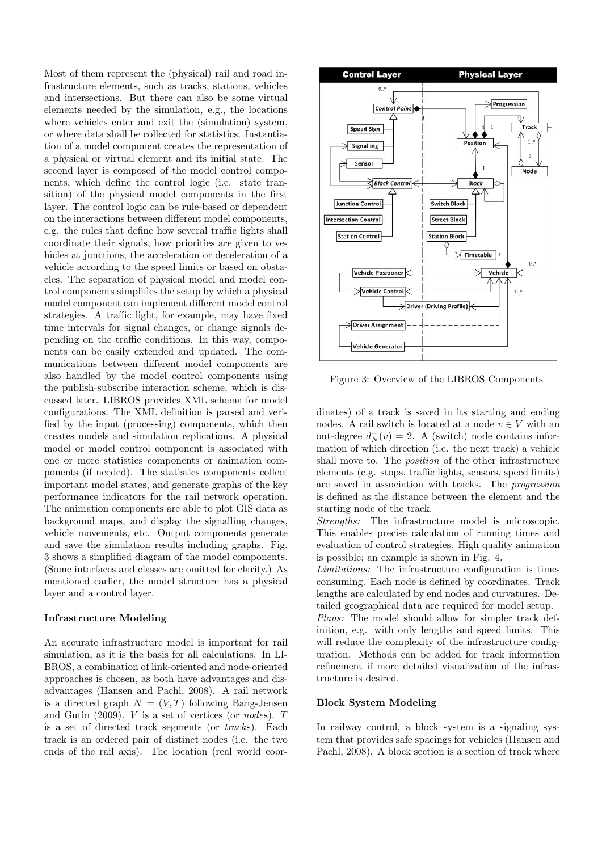Most of them represent the (physical) rail and road infrastructure elements, such as tracks, stations, vehicles and intersections. But there can also be some virtual elements needed by the simulation, e.g., the locations where vehicles enter and exit the (simulation) system, or where data shall be collected for statistics. Instantiation of a model component creates the representation of a physical or virtual element and its initial state. The second layer is composed of the model control components, which define the control logic (i.e. state transition) of the physical model components in the first layer. The control logic can be rule-based or dependent on the interactions between different model components, e.g. the rules that define how several traffic lights shall coordinate their signals, how priorities are given to vehicles at junctions, the acceleration or deceleration of a vehicle according to the speed limits or based on obstacles. The separation of physical model and model control components simplifies the setup by which a physical model component can implement different model control strategies. A traffic light, for example, may have fixed time intervals for signal changes, or change signals depending on the traffic conditions. In this way, components can be easily extended and updated. The communications between different model components are also handled by the model control components using the publish-subscribe interaction scheme, which is discussed later. LIBROS provides XML schema for model configurations. The XML definition is parsed and verified by the input (processing) components, which then creates models and simulation replications. A physical model or model control component is associated with one or more statistics components or animation components (if needed). The statistics components collect important model states, and generate graphs of the key performance indicators for the rail network operation. The animation components are able to plot GIS data as background maps, and display the signalling changes, vehicle movements, etc. Output components generate and save the simulation results including graphs. Fig. 3 shows a simplified diagram of the model components. (Some interfaces and classes are omitted for clarity.) As mentioned earlier, the model structure has a physical layer and a control layer.

## Infrastructure Modeling

An accurate infrastructure model is important for rail simulation, as it is the basis for all calculations. In LI-BROS, a combination of link-oriented and node-oriented approaches is chosen, as both have advantages and disadvantages (Hansen and Pachl, 2008). A rail network is a directed graph  $N = (V, T)$  following Bang-Jensen and Gutin  $(2009)$ . *V* is a set of vertices (or *nodes*). *T* is a set of directed track segments (or tracks). Each track is an ordered pair of distinct nodes (i.e. the two ends of the rail axis). The location (real world coor-



Figure 3: Overview of the LIBROS Components

dinates) of a track is saved in its starting and ending nodes. A rail switch is located at a node  $v \in V$  with an out-degree  $d_N^-(v) = 2$ . A (switch) node contains information of which direction (i.e. the next track) a vehicle shall move to. The position of the other infrastructure elements (e.g. stops, traffic lights, sensors, speed limits) are saved in association with tracks. The progression is defined as the distance between the element and the starting node of the track.

Strengths: The infrastructure model is microscopic. This enables precise calculation of running times and evaluation of control strategies. High quality animation is possible; an example is shown in Fig. 4.

Limitations: The infrastructure configuration is timeconsuming. Each node is defined by coordinates. Track lengths are calculated by end nodes and curvatures. Detailed geographical data are required for model setup.

Plans: The model should allow for simpler track definition, e.g. with only lengths and speed limits. This will reduce the complexity of the infrastructure configuration. Methods can be added for track information refinement if more detailed visualization of the infrastructure is desired.

#### Block System Modeling

In railway control, a block system is a signaling system that provides safe spacings for vehicles (Hansen and Pachl, 2008). A block section is a section of track where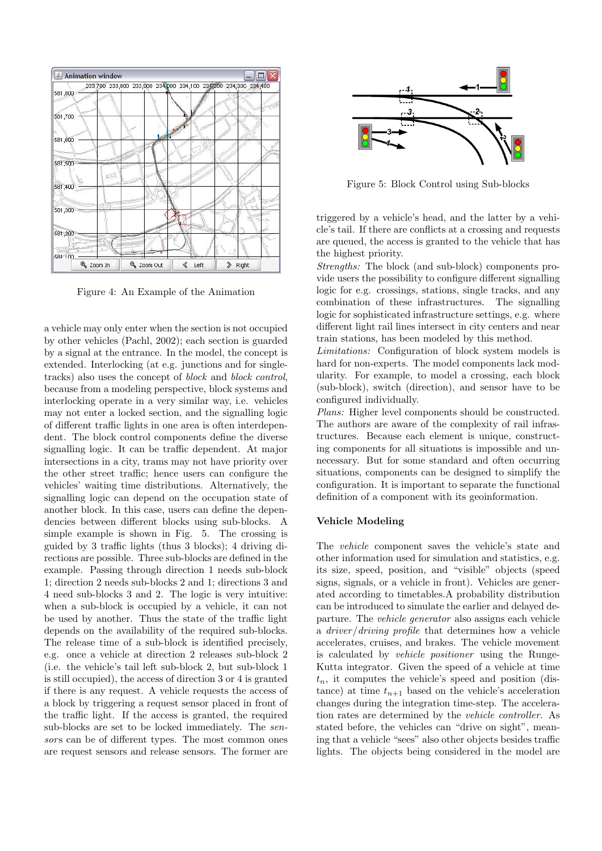

Figure 4: An Example of the Animation

a vehicle may only enter when the section is not occupied by other vehicles (Pachl, 2002); each section is guarded by a signal at the entrance. In the model, the concept is extended. Interlocking (at e.g. junctions and for singletracks) also uses the concept of block and block control, because from a modeling perspective, block systems and interlocking operate in a very similar way, i.e. vehicles may not enter a locked section, and the signalling logic of different traffic lights in one area is often interdependent. The block control components define the diverse signalling logic. It can be traffic dependent. At major intersections in a city, trams may not have priority over the other street traffic; hence users can configure the vehicles' waiting time distributions. Alternatively, the signalling logic can depend on the occupation state of another block. In this case, users can define the dependencies between different blocks using sub-blocks. A simple example is shown in Fig. 5. The crossing is guided by 3 traffic lights (thus 3 blocks); 4 driving directions are possible. Three sub-blocks are defined in the example. Passing through direction 1 needs sub-block 1; direction 2 needs sub-blocks 2 and 1; directions 3 and 4 need sub-blocks 3 and 2. The logic is very intuitive: when a sub-block is occupied by a vehicle, it can not be used by another. Thus the state of the traffic light depends on the availability of the required sub-blocks. The release time of a sub-block is identified precisely, e.g. once a vehicle at direction 2 releases sub-block 2 (i.e. the vehicle's tail left sub-block 2, but sub-block 1 is still occupied), the access of direction 3 or 4 is granted if there is any request. A vehicle requests the access of a block by triggering a request sensor placed in front of the traffic light. If the access is granted, the required sub-blocks are set to be locked immediately. The sensors can be of different types. The most common ones are request sensors and release sensors. The former are



Figure 5: Block Control using Sub-blocks

triggered by a vehicle's head, and the latter by a vehicle's tail. If there are conflicts at a crossing and requests are queued, the access is granted to the vehicle that has the highest priority.

Strengths: The block (and sub-block) components provide users the possibility to configure different signalling logic for e.g. crossings, stations, single tracks, and any combination of these infrastructures. The signalling logic for sophisticated infrastructure settings, e.g. where different light rail lines intersect in city centers and near train stations, has been modeled by this method.

Limitations: Configuration of block system models is hard for non-experts. The model components lack modularity. For example, to model a crossing, each block (sub-block), switch (direction), and sensor have to be configured individually.

Plans: Higher level components should be constructed. The authors are aware of the complexity of rail infrastructures. Because each element is unique, constructing components for all situations is impossible and unnecessary. But for some standard and often occurring situations, components can be designed to simplify the configuration. It is important to separate the functional definition of a component with its geoinformation.

## Vehicle Modeling

The vehicle component saves the vehicle's state and other information used for simulation and statistics, e.g. its size, speed, position, and "visible" objects (speed signs, signals, or a vehicle in front). Vehicles are generated according to timetables.A probability distribution can be introduced to simulate the earlier and delayed departure. The vehicle generator also assigns each vehicle a driver/driving profile that determines how a vehicle accelerates, cruises, and brakes. The vehicle movement is calculated by vehicle positioner using the Runge-Kutta integrator. Given the speed of a vehicle at time  $t_n$ , it computes the vehicle's speed and position (distance) at time  $t_{n+1}$  based on the vehicle's acceleration changes during the integration time-step. The acceleration rates are determined by the vehicle controller. As stated before, the vehicles can "drive on sight", meaning that a vehicle "sees" also other objects besides traffic lights. The objects being considered in the model are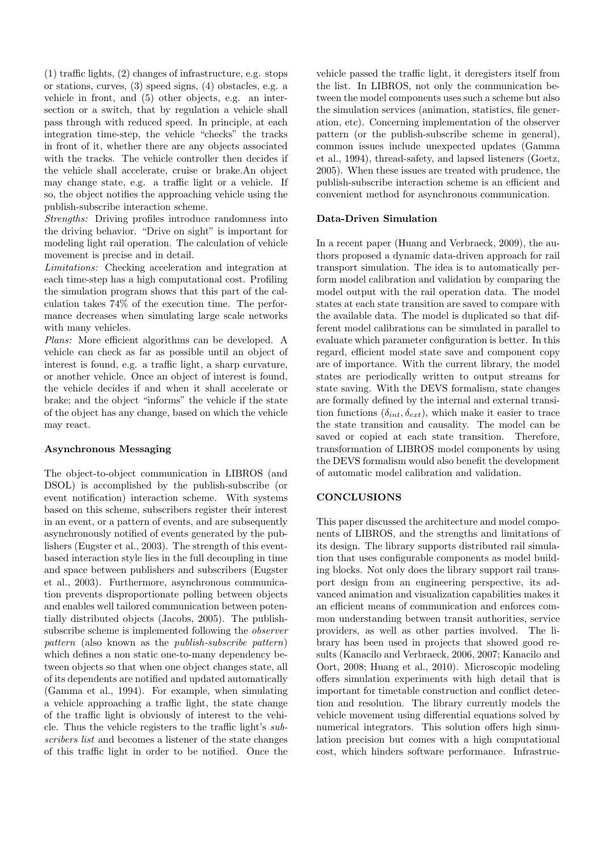(1) traffic lights, (2) changes of infrastructure, e.g. stops or stations, curves, (3) speed signs, (4) obstacles, e.g. a vehicle in front, and (5) other objects, e.g. an intersection or a switch, that by regulation a vehicle shall pass through with reduced speed. In principle, at each integration time-step, the vehicle "checks" the tracks in front of it, whether there are any objects associated with the tracks. The vehicle controller then decides if the vehicle shall accelerate, cruise or brake.An object may change state, e.g. a traffic light or a vehicle. If so, the object notifies the approaching vehicle using the publish-subscribe interaction scheme.

Strengths: Driving profiles introduce randomness into the driving behavior. "Drive on sight" is important for modeling light rail operation. The calculation of vehicle movement is precise and in detail.

Limitations: Checking acceleration and integration at each time-step has a high computational cost. Profiling the simulation program shows that this part of the calculation takes 74% of the execution time. The performance decreases when simulating large scale networks with many vehicles.

Plans: More efficient algorithms can be developed. A vehicle can check as far as possible until an object of interest is found, e.g. a traffic light, a sharp curvature, or another vehicle. Once an object of interest is found, the vehicle decides if and when it shall accelerate or brake; and the object "informs" the vehicle if the state of the object has any change, based on which the vehicle may react.

# Asynchronous Messaging

The object-to-object communication in LIBROS (and DSOL) is accomplished by the publish-subscribe (or event notification) interaction scheme. With systems based on this scheme, subscribers register their interest in an event, or a pattern of events, and are subsequently asynchronously notified of events generated by the publishers (Eugster et al., 2003). The strength of this eventbased interaction style lies in the full decoupling in time and space between publishers and subscribers (Eugster et al., 2003). Furthermore, asynchronous communication prevents disproportionate polling between objects and enables well tailored communication between potentially distributed objects (Jacobs, 2005). The publishsubscribe scheme is implemented following the observer pattern (also known as the publish-subscribe pattern) which defines a non static one-to-many dependency between objects so that when one object changes state, all of its dependents are notified and updated automatically (Gamma et al., 1994). For example, when simulating a vehicle approaching a traffic light, the state change of the traffic light is obviously of interest to the vehicle. Thus the vehicle registers to the traffic light's subscribers list and becomes a listener of the state changes of this traffic light in order to be notified. Once the vehicle passed the traffic light, it deregisters itself from the list. In LIBROS, not only the communication between the model components uses such a scheme but also the simulation services (animation, statistics, file generation, etc). Concerning implementation of the observer pattern (or the publish-subscribe scheme in general), common issues include unexpected updates (Gamma et al., 1994), thread-safety, and lapsed listeners (Goetz, 2005). When these issues are treated with prudence, the publish-subscribe interaction scheme is an efficient and convenient method for asynchronous communication.

# Data-Driven Simulation

In a recent paper (Huang and Verbraeck, 2009), the authors proposed a dynamic data-driven approach for rail transport simulation. The idea is to automatically perform model calibration and validation by comparing the model output with the rail operation data. The model states at each state transition are saved to compare with the available data. The model is duplicated so that different model calibrations can be simulated in parallel to evaluate which parameter configuration is better. In this regard, efficient model state save and component copy are of importance. With the current library, the model states are periodically written to output streams for state saving. With the DEVS formalism, state changes are formally defined by the internal and external transition functions  $(\delta_{int}, \delta_{ext})$ , which make it easier to trace the state transition and causality. The model can be saved or copied at each state transition. Therefore, transformation of LIBROS model components by using the DEVS formalism would also benefit the development of automatic model calibration and validation.

## **CONCLUSIONS**

This paper discussed the architecture and model components of LIBROS, and the strengths and limitations of its design. The library supports distributed rail simulation that uses configurable components as model building blocks. Not only does the library support rail transport design from an engineering perspective, its advanced animation and visualization capabilities makes it an efficient means of communication and enforces common understanding between transit authorities, service providers, as well as other parties involved. The library has been used in projects that showed good results (Kanacilo and Verbraeck, 2006, 2007; Kanacilo and Oort, 2008; Huang et al., 2010). Microscopic modeling offers simulation experiments with high detail that is important for timetable construction and conflict detection and resolution. The library currently models the vehicle movement using differential equations solved by numerical integrators. This solution offers high simulation precision but comes with a high computational cost, which hinders software performance. Infrastruc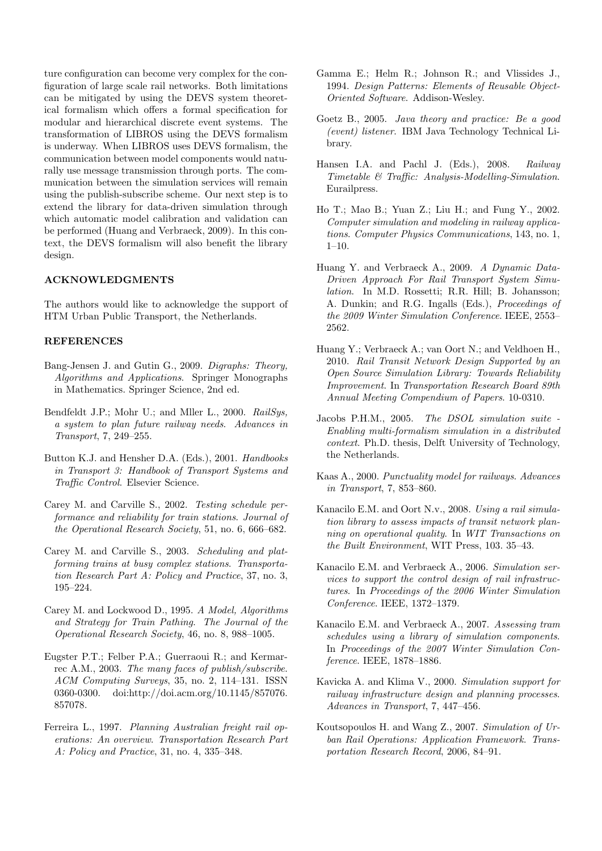ture configuration can become very complex for the configuration of large scale rail networks. Both limitations can be mitigated by using the DEVS system theoretical formalism which offers a formal specification for modular and hierarchical discrete event systems. The transformation of LIBROS using the DEVS formalism is underway. When LIBROS uses DEVS formalism, the communication between model components would naturally use message transmission through ports. The communication between the simulation services will remain using the publish-subscribe scheme. Our next step is to extend the library for data-driven simulation through which automatic model calibration and validation can be performed (Huang and Verbraeck, 2009). In this context, the DEVS formalism will also benefit the library design.

## ACKNOWLEDGMENTS

The authors would like to acknowledge the support of HTM Urban Public Transport, the Netherlands.

# **REFERENCES**

- Bang-Jensen J. and Gutin G., 2009. Digraphs: Theory, Algorithms and Applications. Springer Monographs in Mathematics. Springer Science, 2nd ed.
- Bendfeldt J.P.; Mohr U.; and Mller L., 2000. RailSys, a system to plan future railway needs. Advances in Transport, 7, 249–255.
- Button K.J. and Hensher D.A. (Eds.), 2001. Handbooks in Transport 3: Handbook of Transport Systems and Traffic Control. Elsevier Science.
- Carey M. and Carville S., 2002. Testing schedule performance and reliability for train stations. Journal of the Operational Research Society, 51, no. 6, 666–682.
- Carey M. and Carville S., 2003. Scheduling and platforming trains at busy complex stations. Transportation Research Part A: Policy and Practice, 37, no. 3, 195–224.
- Carey M. and Lockwood D., 1995. A Model, Algorithms and Strategy for Train Pathing. The Journal of the Operational Research Society, 46, no. 8, 988–1005.
- Eugster P.T.; Felber P.A.; Guerraoui R.; and Kermarrec A.M., 2003. The many faces of publish/subscribe. ACM Computing Surveys, 35, no. 2, 114–131. ISSN 0360-0300. doi:http://doi.acm.org/10.1145/857076. 857078.
- Ferreira L., 1997. Planning Australian freight rail operations: An overview. Transportation Research Part A: Policy and Practice, 31, no. 4, 335–348.
- Gamma E.; Helm R.; Johnson R.; and Vlissides J., 1994. Design Patterns: Elements of Reusable Object-Oriented Software. Addison-Wesley.
- Goetz B., 2005. Java theory and practice: Be a good (event) listener. IBM Java Technology Technical Library.
- Hansen I.A. and Pachl J. (Eds.), 2008. Railway Timetable & Traffic: Analysis-Modelling-Simulation. Eurailpress.
- Ho T.; Mao B.; Yuan Z.; Liu H.; and Fung Y., 2002. Computer simulation and modeling in railway applications. Computer Physics Communications, 143, no. 1, 1–10.
- Huang Y. and Verbraeck A., 2009. A Dynamic Data-Driven Approach For Rail Transport System Simulation. In M.D. Rossetti; R.R. Hill; B. Johansson; A. Dunkin; and R.G. Ingalls (Eds.), Proceedings of the 2009 Winter Simulation Conference. IEEE, 2553– 2562.
- Huang Y.; Verbraeck A.; van Oort N.; and Veldhoen H., 2010. Rail Transit Network Design Supported by an Open Source Simulation Library: Towards Reliability Improvement. In Transportation Research Board 89th Annual Meeting Compendium of Papers. 10-0310.
- Jacobs P.H.M., 2005. The DSOL simulation suite -Enabling multi-formalism simulation in a distributed context. Ph.D. thesis, Delft University of Technology, the Netherlands.
- Kaas A., 2000. Punctuality model for railways. Advances in Transport, 7, 853–860.
- Kanacilo E.M. and Oort N.v., 2008. Using a rail simulation library to assess impacts of transit network planning on operational quality. In WIT Transactions on the Built Environment, WIT Press, 103. 35–43.
- Kanacilo E.M. and Verbraeck A., 2006. Simulation services to support the control design of rail infrastructures. In Proceedings of the 2006 Winter Simulation Conference. IEEE, 1372–1379.
- Kanacilo E.M. and Verbraeck A., 2007. Assessing tram schedules using a library of simulation components. In Proceedings of the 2007 Winter Simulation Conference. IEEE, 1878–1886.
- Kavicka A. and Klima V., 2000. Simulation support for railway infrastructure design and planning processes. Advances in Transport, 7, 447–456.
- Koutsopoulos H. and Wang Z., 2007. Simulation of Urban Rail Operations: Application Framework. Transportation Research Record, 2006, 84–91.